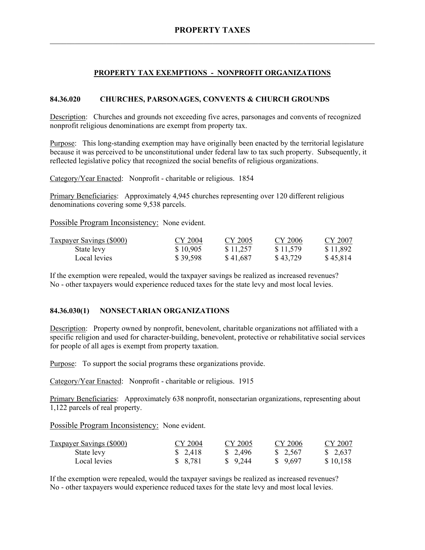# **PROPERTY TAX EXEMPTIONS - NONPROFIT ORGANIZATIONS**

## **84.36.020 CHURCHES, PARSONAGES, CONVENTS & CHURCH GROUNDS**

Description: Churches and grounds not exceeding five acres, parsonages and convents of recognized nonprofit religious denominations are exempt from property tax.

Purpose: This long-standing exemption may have originally been enacted by the territorial legislature because it was perceived to be unconstitutional under federal law to tax such property. Subsequently, it reflected legislative policy that recognized the social benefits of religious organizations.

Category/Year Enacted: Nonprofit - charitable or religious. 1854

Primary Beneficiaries: Approximately 4,945 churches representing over 120 different religious denominations covering some 9,538 parcels.

Possible Program Inconsistency: None evident.

| <b>Taxpayer Savings (\$000)</b> | CY 2004  | CY 2005  | CY 2006  | CY 2007  |
|---------------------------------|----------|----------|----------|----------|
| State levy                      | \$10,905 | \$11,257 | \$11,579 | \$11,892 |
| Local levies                    | \$39,598 | \$41,687 | \$43,729 | \$45,814 |

If the exemption were repealed, would the taxpayer savings be realized as increased revenues? No - other taxpayers would experience reduced taxes for the state levy and most local levies.

#### **84.36.030(1) NONSECTARIAN ORGANIZATIONS**

Description: Property owned by nonprofit, benevolent, charitable organizations not affiliated with a specific religion and used for character-building, benevolent, protective or rehabilitative social services for people of all ages is exempt from property taxation.

Purpose: To support the social programs these organizations provide.

Category/Year Enacted: Nonprofit - charitable or religious. 1915

Primary Beneficiaries: Approximately 638 nonprofit, nonsectarian organizations, representing about 1,122 parcels of real property.

Possible Program Inconsistency: None evident.

| <b>Taxpayer Savings (\$000)</b> | CY 2004 | CY 2005  | CY 2006  | CY 2007  |
|---------------------------------|---------|----------|----------|----------|
| State levy                      | \$2,418 | \$2,496  | \$ 2,567 | \$ 2,637 |
| Local levies                    | \$8,781 | \$ 9.244 | \$9.697  | \$10,158 |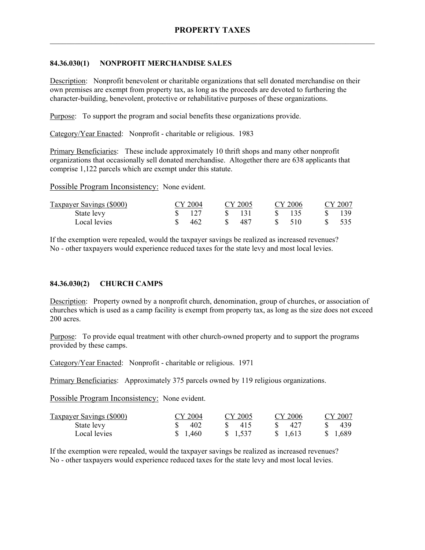## **84.36.030(1) NONPROFIT MERCHANDISE SALES**

Description: Nonprofit benevolent or charitable organizations that sell donated merchandise on their own premises are exempt from property tax, as long as the proceeds are devoted to furthering the character-building, benevolent, protective or rehabilitative purposes of these organizations.

Purpose: To support the program and social benefits these organizations provide.

Category/Year Enacted: Nonprofit - charitable or religious. 1983

Primary Beneficiaries: These include approximately 10 thrift shops and many other nonprofit organizations that occasionally sell donated merchandise. Altogether there are 638 applicants that comprise 1,122 parcels which are exempt under this statute.

Possible Program Inconsistency: None evident.

| Taxpayer Savings (\$000) | CY 2004 | CY 2005      | CY 2006   | CY 2007 |
|--------------------------|---------|--------------|-----------|---------|
| State levy               |         | $\mathbf{x}$ |           | 139     |
| Local levies             | 462     | S.<br>-487   | 510<br>S. | 535     |

If the exemption were repealed, would the taxpayer savings be realized as increased revenues? No - other taxpayers would experience reduced taxes for the state levy and most local levies.

# **84.36.030(2) CHURCH CAMPS**

Description: Property owned by a nonprofit church, denomination, group of churches, or association of churches which is used as a camp facility is exempt from property tax, as long as the size does not exceed 200 acres.

Purpose: To provide equal treatment with other church-owned property and to support the programs provided by these camps.

Category/Year Enacted: Nonprofit - charitable or religious. 1971

Primary Beneficiaries: Approximately 375 parcels owned by 119 religious organizations.

Possible Program Inconsistency: None evident.

| <b>Taxpayer Savings (\$000)</b> | CY 2004  | CY 2005 | CY 2006  | CY 2007  |
|---------------------------------|----------|---------|----------|----------|
| State levy                      | 402      | 415     | -427     | -439     |
| Local levies                    | \$ 1.460 | \$1,537 | \$ 1.613 | \$ 1.689 |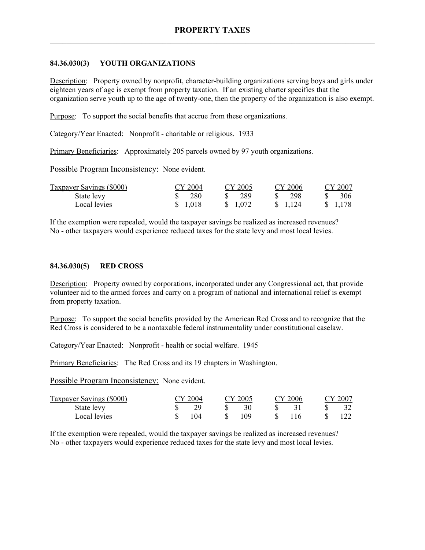### **84.36.030(3) YOUTH ORGANIZATIONS**

Description: Property owned by nonprofit, character-building organizations serving boys and girls under eighteen years of age is exempt from property taxation. If an existing charter specifies that the organization serve youth up to the age of twenty-one, then the property of the organization is also exempt.

Purpose: To support the social benefits that accrue from these organizations.

Category/Year Enacted: Nonprofit - charitable or religious. 1933

Primary Beneficiaries: Approximately 205 parcels owned by 97 youth organizations.

Possible Program Inconsistency: None evident.

| Taxpayer Savings (\$000) | CY 2004  | CY 2005    | CY 2006    | CY 2007  |
|--------------------------|----------|------------|------------|----------|
| State levy               | \$ 280   | -289<br>S. | -298       | 306      |
| Local levies             | \$ 1,018 | \$ 1.072   | \$ 1 1 2 4 | \$ 1,178 |

If the exemption were repealed, would the taxpayer savings be realized as increased revenues? No - other taxpayers would experience reduced taxes for the state levy and most local levies.

#### **84.36.030(5) RED CROSS**

Description: Property owned by corporations, incorporated under any Congressional act, that provide volunteer aid to the armed forces and carry on a program of national and international relief is exempt from property taxation.

Purpose: To support the social benefits provided by the American Red Cross and to recognize that the Red Cross is considered to be a nontaxable federal instrumentality under constitutional caselaw.

Category/Year Enacted: Nonprofit - health or social welfare. 1945

Primary Beneficiaries: The Red Cross and its 19 chapters in Washington.

Possible Program Inconsistency: None evident.

| <b>Taxpayer Savings (\$000)</b> | CY 2004 | CY 2005 | CY 2006 | CY 2007 |
|---------------------------------|---------|---------|---------|---------|
| State levy                      |         |         |         |         |
| Local levies                    | 104     | 109     | 116.    |         |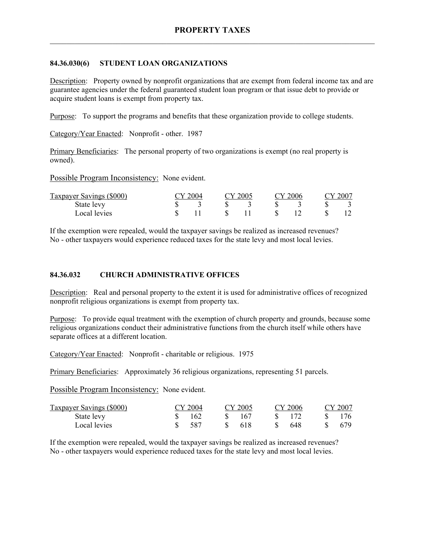## **84.36.030(6) STUDENT LOAN ORGANIZATIONS**

Description: Property owned by nonprofit organizations that are exempt from federal income tax and are guarantee agencies under the federal guaranteed student loan program or that issue debt to provide or acquire student loans is exempt from property tax.

Purpose: To support the programs and benefits that these organization provide to college students.

Category/Year Enacted: Nonprofit - other. 1987

Primary Beneficiaries: The personal property of two organizations is exempt (no real property is owned).

Possible Program Inconsistency: None evident.

| Taxpayer Savings (\$000) | $\gamma$ 2004 |  | CY 2005 |  | CY 2006 |  | CY 2007 |  |
|--------------------------|---------------|--|---------|--|---------|--|---------|--|
| State levy               |               |  |         |  |         |  |         |  |
| Local levies             |               |  |         |  |         |  |         |  |

If the exemption were repealed, would the taxpayer savings be realized as increased revenues? No - other taxpayers would experience reduced taxes for the state levy and most local levies.

# **84.36.032 CHURCH ADMINISTRATIVE OFFICES**

Description: Real and personal property to the extent it is used for administrative offices of recognized nonprofit religious organizations is exempt from property tax.

Purpose: To provide equal treatment with the exemption of church property and grounds, because some religious organizations conduct their administrative functions from the church itself while others have separate offices at a different location.

Category/Year Enacted: Nonprofit - charitable or religious. 1975

Primary Beneficiaries: Approximately 36 religious organizations, representing 51 parcels.

Possible Program Inconsistency: None evident.

| Taxpayer Savings (\$000) | CY 2004 | CY 2005 | CY 2006 | CY 2007 |
|--------------------------|---------|---------|---------|---------|
| State levy               | 162     | 167     |         |         |
| Local levies             | 587     | -618    | -648    | 679     |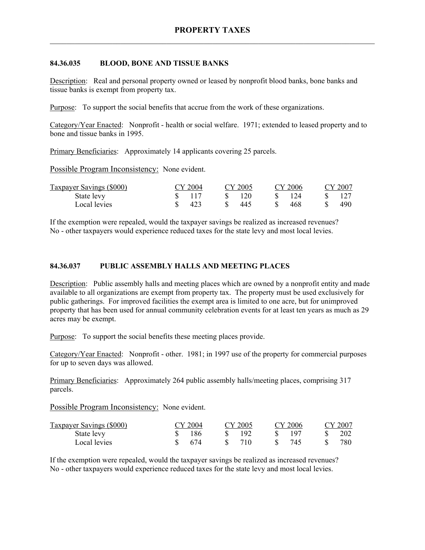#### **84.36.035 BLOOD, BONE AND TISSUE BANKS**

Description: Real and personal property owned or leased by nonprofit blood banks, bone banks and tissue banks is exempt from property tax.

Purpose: To support the social benefits that accrue from the work of these organizations.

Category/Year Enacted: Nonprofit - health or social welfare. 1971; extended to leased property and to bone and tissue banks in 1995.

Primary Beneficiaries: Approximately 14 applicants covering 25 parcels.

Possible Program Inconsistency: None evident.

| <b>Taxpayer Savings (\$000)</b> | CY 2004 | CY 2005 | CY 2006 | CY 2007 |
|---------------------------------|---------|---------|---------|---------|
| State levy                      |         | -120    | 124     | 127     |
| Local levies                    | 423     | 445     | 468     | 490.    |

If the exemption were repealed, would the taxpayer savings be realized as increased revenues? No - other taxpayers would experience reduced taxes for the state levy and most local levies.

## **84.36.037 PUBLIC ASSEMBLY HALLS AND MEETING PLACES**

Description: Public assembly halls and meeting places which are owned by a nonprofit entity and made available to all organizations are exempt from property tax. The property must be used exclusively for public gatherings. For improved facilities the exempt area is limited to one acre, but for unimproved property that has been used for annual community celebration events for at least ten years as much as 29 acres may be exempt.

Purpose: To support the social benefits these meeting places provide.

Category/Year Enacted: Nonprofit - other. 1981; in 1997 use of the property for commercial purposes for up to seven days was allowed.

Primary Beneficiaries: Approximately 264 public assembly halls/meeting places, comprising 317 parcels.

Possible Program Inconsistency: None evident.

| <b>Taxpayer Savings (\$000)</b> | CY 2004 | CY 2005 | CY 2006 | CY 2007 |
|---------------------------------|---------|---------|---------|---------|
| State levy                      | 186     | 192     | 197     | 202     |
| Local levies                    | 674     | 710     | 745     | 780-    |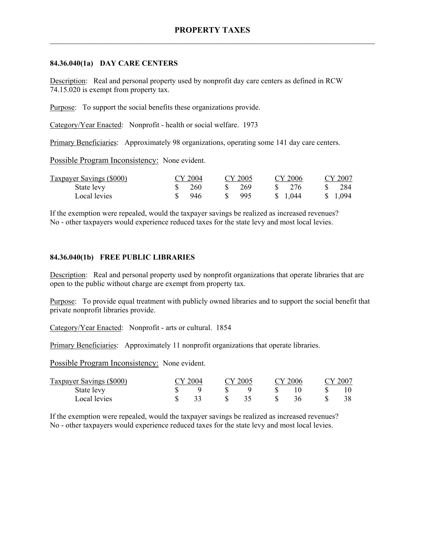### **84.36.040(1a) DAY CARE CENTERS**

Description: Real and personal property used by nonprofit day care centers as defined in RCW 74.15.020 is exempt from property tax.

Purpose: To support the social benefits these organizations provide.

Category/Year Enacted: Nonprofit - health or social welfare. 1973

Primary Beneficiaries: Approximately 98 organizations, operating some 141 day care centers.

Possible Program Inconsistency: None evident.

| Taxpayer Savings (\$000) | CY 2004 | CY 2005 | CY 2006               | CY 2007  |
|--------------------------|---------|---------|-----------------------|----------|
| State levy               | 260     | - 269   | - 276<br>$\mathbf{x}$ | 284      |
| Local levies             | 946     | -995    | \$ 1.044              | \$ 1,094 |

If the exemption were repealed, would the taxpayer savings be realized as increased revenues? No - other taxpayers would experience reduced taxes for the state levy and most local levies.

## **84.36.040(1b) FREE PUBLIC LIBRARIES**

Description: Real and personal property used by nonprofit organizations that operate libraries that are open to the public without charge are exempt from property tax.

Purpose: To provide equal treatment with publicly owned libraries and to support the social benefit that private nonprofit libraries provide.

Category/Year Enacted: Nonprofit - arts or cultural. 1854

Primary Beneficiaries: Approximately 11 nonprofit organizations that operate libraries.

Possible Program Inconsistency: None evident.

| Taxpayer Savings (\$000) | CY 2004 |  | CY 2005 |   | CY 2006 |  | CY 2007 |
|--------------------------|---------|--|---------|---|---------|--|---------|
| State levy               |         |  |         |   |         |  |         |
| Local levies             |         |  |         | S | 36      |  | 38.     |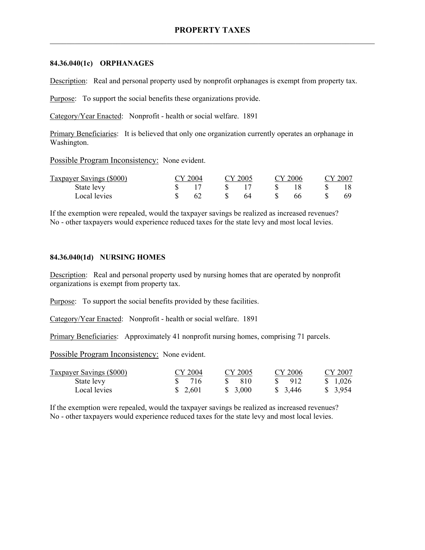#### **84.36.040(1c) ORPHANAGES**

Description: Real and personal property used by nonprofit orphanages is exempt from property tax.

Purpose: To support the social benefits these organizations provide.

Category/Year Enacted: Nonprofit - health or social welfare. 1891

Primary Beneficiaries: It is believed that only one organization currently operates an orphanage in Washington.

Possible Program Inconsistency: None evident.

| Taxpayer Savings (\$000) | CY 2004 |               | CY 2005 |    | CY 2006 | CY 2007 |
|--------------------------|---------|---------------|---------|----|---------|---------|
| State levy               |         |               |         |    |         |         |
| Local levies             |         | $\mathcal{S}$ | 64      | -8 |         |         |

If the exemption were repealed, would the taxpayer savings be realized as increased revenues? No - other taxpayers would experience reduced taxes for the state levy and most local levies.

#### **84.36.040(1d) NURSING HOMES**

Description: Real and personal property used by nursing homes that are operated by nonprofit organizations is exempt from property tax.

Purpose: To support the social benefits provided by these facilities.

Category/Year Enacted: Nonprofit - health or social welfare. 1891

Primary Beneficiaries: Approximately 41 nonprofit nursing homes, comprising 71 parcels.

Possible Program Inconsistency: None evident.

| <b>Taxpayer Savings (\$000)</b> | CY 2004  | CY 2005 | CY 2006               | CY 2007  |
|---------------------------------|----------|---------|-----------------------|----------|
| State levy                      | S 716    | -810    | $\frac{1}{2}$ 912     | \$ 1,026 |
| Local levies                    | \$ 2,601 | \$3,000 | $\frac{1}{2}$ , 3,446 | \$ 3,954 |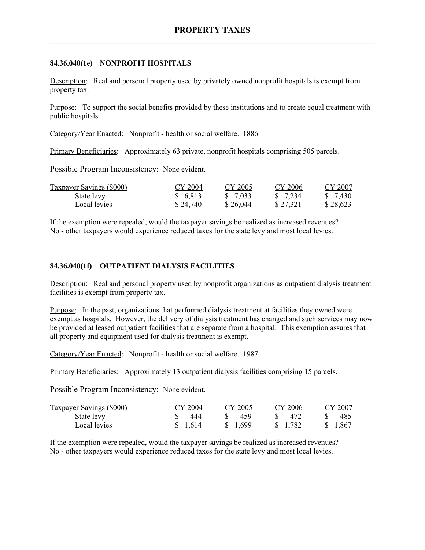## **84.36.040(1e) NONPROFIT HOSPITALS**

Description: Real and personal property used by privately owned nonprofit hospitals is exempt from property tax.

Purpose: To support the social benefits provided by these institutions and to create equal treatment with public hospitals.

Category/Year Enacted: Nonprofit - health or social welfare. 1886

Primary Beneficiaries: Approximately 63 private, nonprofit hospitals comprising 505 parcels.

Possible Program Inconsistency: None evident.

| <b>Taxpayer Savings (\$000)</b> | CY 2004  | CY 2005  | CY 2006  | CY 2007  |
|---------------------------------|----------|----------|----------|----------|
| State levy                      | \$ 6,813 | \$ 7.033 | \$ 7.234 | \$ 7,430 |
| Local levies                    | \$24,740 | \$26,044 | \$27,321 | \$28,623 |

If the exemption were repealed, would the taxpayer savings be realized as increased revenues? No - other taxpayers would experience reduced taxes for the state levy and most local levies.

#### **84.36.040(1f) OUTPATIENT DIALYSIS FACILITIES**

Description: Real and personal property used by nonprofit organizations as outpatient dialysis treatment facilities is exempt from property tax.

Purpose: In the past, organizations that performed dialysis treatment at facilities they owned were exempt as hospitals. However, the delivery of dialysis treatment has changed and such services may now be provided at leased outpatient facilities that are separate from a hospital. This exemption assures that all property and equipment used for dialysis treatment is exempt.

Category/Year Enacted: Nonprofit - health or social welfare. 1987

Primary Beneficiaries: Approximately 13 outpatient dialysis facilities comprising 15 parcels.

Possible Program Inconsistency: None evident.

| <b>Taxpayer Savings (\$000)</b> | CY 2004  | CY 2005 | CY 2006  | CY 2007  |
|---------------------------------|----------|---------|----------|----------|
| State levy                      | 444      | 459     | -472     | 485      |
| Local levies                    | \$ 1.614 | \$1,699 | \$ 1,782 | \$ 1.867 |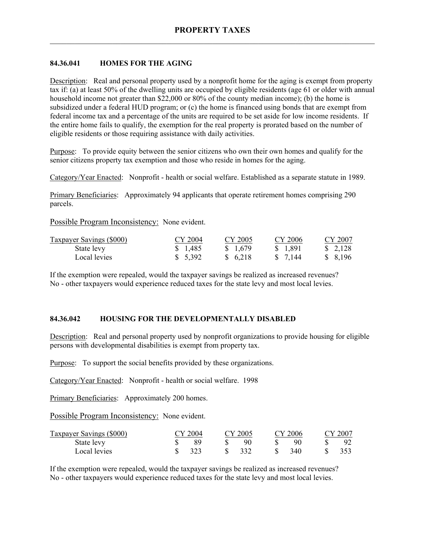## **84.36.041 HOMES FOR THE AGING**

Description: Real and personal property used by a nonprofit home for the aging is exempt from property tax if: (a) at least 50% of the dwelling units are occupied by eligible residents (age 61 or older with annual household income not greater than \$22,000 or 80% of the county median income); (b) the home is subsidized under a federal HUD program; or (c) the home is financed using bonds that are exempt from federal income tax and a percentage of the units are required to be set aside for low income residents. If the entire home fails to qualify, the exemption for the real property is prorated based on the number of eligible residents or those requiring assistance with daily activities.

Purpose: To provide equity between the senior citizens who own their own homes and qualify for the senior citizens property tax exemption and those who reside in homes for the aging.

Category/Year Enacted: Nonprofit - health or social welfare. Established as a separate statute in 1989.

Primary Beneficiaries: Approximately 94 applicants that operate retirement homes comprising 290 parcels.

Possible Program Inconsistency: None evident.

| <b>Taxpayer Savings (\$000)</b> | CY 2004  | CY 2005  | CY 2006  | CY 2007 |
|---------------------------------|----------|----------|----------|---------|
| State levy                      | \$ 1.485 | \$1,679  | \$ 1,891 | \$2,128 |
| Local levies                    | \$5,392  | \$ 6,218 | \$ 7.144 | \$8,196 |

If the exemption were repealed, would the taxpayer savings be realized as increased revenues? No - other taxpayers would experience reduced taxes for the state levy and most local levies.

#### **84.36.042 HOUSING FOR THE DEVELOPMENTALLY DISABLED**

Description: Real and personal property used by nonprofit organizations to provide housing for eligible persons with developmental disabilities is exempt from property tax.

Purpose: To support the social benefits provided by these organizations.

Category/Year Enacted: Nonprofit - health or social welfare. 1998

Primary Beneficiaries: Approximately 200 homes.

Possible Program Inconsistency: None evident.

| <b>Taxpayer Savings (\$000)</b> | CY 2004 |       | CY 2005 |     | CY 2006 | CY 2007 |
|---------------------------------|---------|-------|---------|-----|---------|---------|
| State levy                      |         |       | 90      |     | 90      |         |
| Local levies                    | 323     | $S^-$ | - 332   | SS. | 340     |         |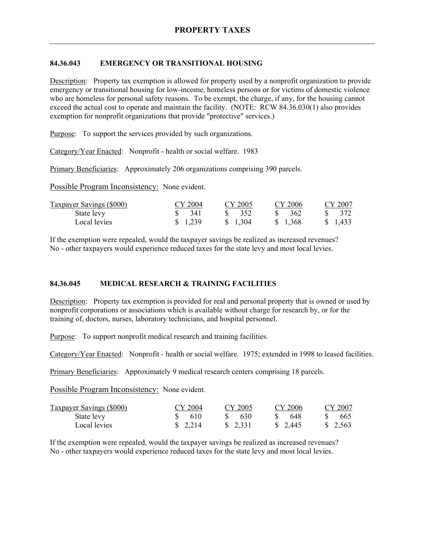# **84.36.043 EMERGENCY OR TRANSITIONAL HOUSING**

Description: Property tax exemption is allowed for property used by a nonprofit organization to provide emergency or transitional housing for low-income, homeless persons or for victims of domestic violence who are homeless for personal safety reasons. To be exempt, the charge, if any, for the housing cannot exceed the actual cost to operate and maintain the facility. (NOTE: RCW 84.36.030(1) also provides exemption for nonprofit organizations that provide "protective" services.)

Purpose: To support the services provided by such organizations.

Category/Year Enacted: Nonprofit - health or social welfare. 1983

Primary Beneficiaries: Approximately 206 organizations comprising 390 parcels.

Possible Program Inconsistency: None evident.

| <b>Taxpayer Savings (\$000)</b> | CY 2004           | CY 2005            | CY 2006           | CY 2007          |
|---------------------------------|-------------------|--------------------|-------------------|------------------|
| State levy                      | $\frac{1}{2}$ 341 | $\frac{1}{2}$ 3.52 | $\frac{1}{2}$ 362 | \$ 372           |
| Local levies                    | \$1,239           | \$ 1.304           | \$ 1.368          | $\frac{1433}{ }$ |

If the exemption were repealed, would the taxpayer savings be realized as increased revenues? No - other taxpayers would experience reduced taxes for the state levy and most local levies.

#### **84.36.045 MEDICAL RESEARCH & TRAINING FACILITIES**

Description: Property tax exemption is provided for real and personal property that is owned or used by nonprofit corporations or associations which is available without charge for research by, or for the training of, doctors, nurses, laboratory technicians, and hospital personnel.

Purpose: To support nonprofit medical research and training facilities.

Category/Year Enacted: Nonprofit - health or social welfare. 1975; extended in 1998 to leased facilities.

Primary Beneficiaries: Approximately 9 medical research centers comprising 18 parcels.

Possible Program Inconsistency: None evident.

| <b>Taxpayer Savings (\$000)</b> | CY 2004           | CY 2005  | CY 2006                | CY 2007                |
|---------------------------------|-------------------|----------|------------------------|------------------------|
| State levy                      | $\frac{1}{2}$ 610 | -630     | -648                   | 665                    |
| Local levies                    | \$2,214           | \$ 2,331 | $\frac{1}{2}$ , 2, 445 | $\frac{1}{2}$ , 2, 563 |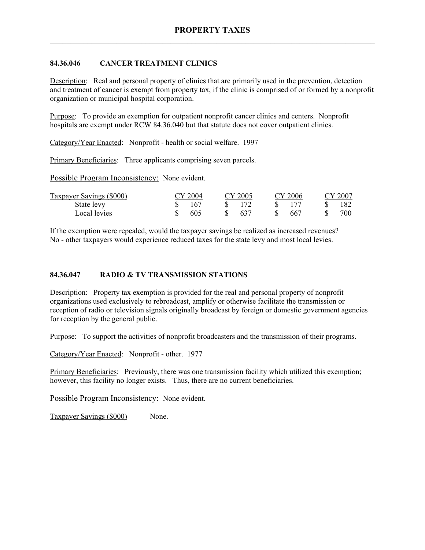## **84.36.046 CANCER TREATMENT CLINICS**

Description: Real and personal property of clinics that are primarily used in the prevention, detection and treatment of cancer is exempt from property tax, if the clinic is comprised of or formed by a nonprofit organization or municipal hospital corporation.

Purpose: To provide an exemption for outpatient nonprofit cancer clinics and centers. Nonprofit hospitals are exempt under RCW 84.36.040 but that statute does not cover outpatient clinics.

Category/Year Enacted: Nonprofit - health or social welfare. 1997

Primary Beneficiaries: Three applicants comprising seven parcels.

Possible Program Inconsistency: None evident.

| <b>Taxpayer Savings (\$000)</b> | CY 2004 | CY 2005        |       | CY 2006 | CY 2007 |
|---------------------------------|---------|----------------|-------|---------|---------|
| State levy                      | 167     | $\sqrt{8}$ 172 | $S^+$ |         | - 182   |
| Local levies                    | 605     | -637           | S.    | - 667   | 700     |

If the exemption were repealed, would the taxpayer savings be realized as increased revenues? No - other taxpayers would experience reduced taxes for the state levy and most local levies.

#### **84.36.047 RADIO & TV TRANSMISSION STATIONS**

Description: Property tax exemption is provided for the real and personal property of nonprofit organizations used exclusively to rebroadcast, amplify or otherwise facilitate the transmission or reception of radio or television signals originally broadcast by foreign or domestic government agencies for reception by the general public.

Purpose: To support the activities of nonprofit broadcasters and the transmission of their programs.

Category/Year Enacted: Nonprofit - other. 1977

Primary Beneficiaries: Previously, there was one transmission facility which utilized this exemption; however, this facility no longer exists. Thus, there are no current beneficiaries.

Possible Program Inconsistency: None evident.

Taxpayer Savings (\$000) None.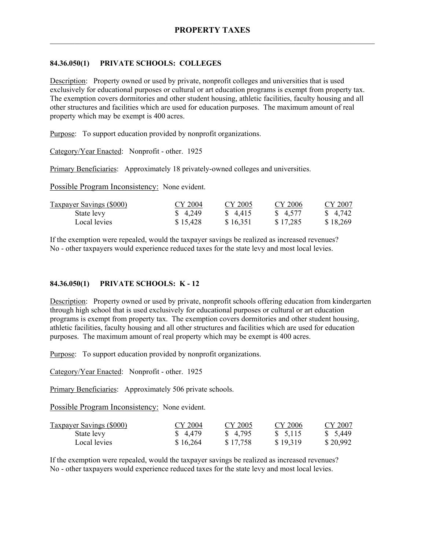## **84.36.050(1) PRIVATE SCHOOLS: COLLEGES**

Description: Property owned or used by private, nonprofit colleges and universities that is used exclusively for educational purposes or cultural or art education programs is exempt from property tax. The exemption covers dormitories and other student housing, athletic facilities, faculty housing and all other structures and facilities which are used for education purposes. The maximum amount of real property which may be exempt is 400 acres.

Purpose: To support education provided by nonprofit organizations.

Category/Year Enacted: Nonprofit - other. 1925

Primary Beneficiaries: Approximately 18 privately-owned colleges and universities.

Possible Program Inconsistency: None evident.

| <b>Taxpayer Savings (\$000)</b> | CY 2004  | CY 2005  | CY 2006  | CY 2007  |
|---------------------------------|----------|----------|----------|----------|
| State levy                      | \$4,249  | \$ 4.415 | \$ 4,577 | \$ 4,742 |
| Local levies                    | \$15,428 | \$16,351 | \$17,285 | \$18,269 |

If the exemption were repealed, would the taxpayer savings be realized as increased revenues? No - other taxpayers would experience reduced taxes for the state levy and most local levies.

#### **84.36.050(1) PRIVATE SCHOOLS: K - 12**

Description: Property owned or used by private, nonprofit schools offering education from kindergarten through high school that is used exclusively for educational purposes or cultural or art education programs is exempt from property tax. The exemption covers dormitories and other student housing, athletic facilities, faculty housing and all other structures and facilities which are used for education purposes. The maximum amount of real property which may be exempt is 400 acres.

Purpose: To support education provided by nonprofit organizations.

Category/Year Enacted: Nonprofit - other. 1925

Primary Beneficiaries: Approximately 506 private schools.

Possible Program Inconsistency: None evident.

| <b>Taxpayer Savings (\$000)</b> | CY 2004  | CY 2005  | CY 2006  | CY 2007  |
|---------------------------------|----------|----------|----------|----------|
| State levy                      | \$ 4.479 | \$4,795  | \$5,115  | \$ 5.449 |
| Local levies                    | \$16,264 | \$17,758 | \$19,319 | \$20,992 |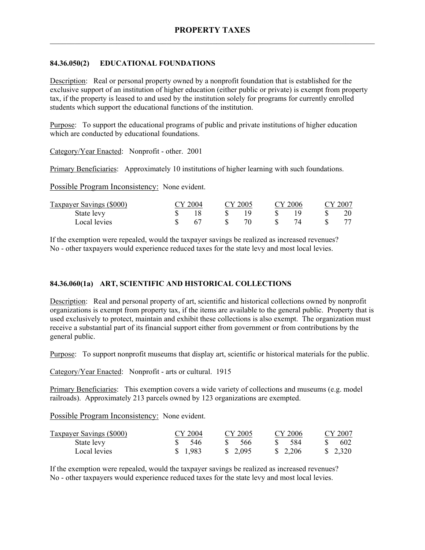### **84.36.050(2) EDUCATIONAL FOUNDATIONS**

Description: Real or personal property owned by a nonprofit foundation that is established for the exclusive support of an institution of higher education (either public or private) is exempt from property tax, if the property is leased to and used by the institution solely for programs for currently enrolled students which support the educational functions of the institution.

Purpose: To support the educational programs of public and private institutions of higher education which are conducted by educational foundations.

Category/Year Enacted: Nonprofit - other. 2001

Primary Beneficiaries: Approximately 10 institutions of higher learning with such foundations.

Possible Program Inconsistency: None evident.

| Taxpayer Savings (\$000) | CY 2004 | CY 2005 | CY 2006 | CY 2007 |
|--------------------------|---------|---------|---------|---------|
| State levy               |         |         |         | 20      |
| Local levies             |         | 70      |         |         |

If the exemption were repealed, would the taxpayer savings be realized as increased revenues? No - other taxpayers would experience reduced taxes for the state levy and most local levies.

# **84.36.060(1a) ART, SCIENTIFIC AND HISTORICAL COLLECTIONS**

Description: Real and personal property of art, scientific and historical collections owned by nonprofit organizations is exempt from property tax, if the items are available to the general public. Property that is used exclusively to protect, maintain and exhibit these collections is also exempt. The organization must receive a substantial part of its financial support either from government or from contributions by the general public.

Purpose: To support nonprofit museums that display art, scientific or historical materials for the public.

Category/Year Enacted: Nonprofit - arts or cultural. 1915

Primary Beneficiaries: This exemption covers a wide variety of collections and museums (e.g. model railroads). Approximately 213 parcels owned by 123 organizations are exempted.

Possible Program Inconsistency: None evident.

| <b>Taxpayer Savings (\$000)</b> | CY 2004             | CY 2005               | CY 2006               | CY 2007  |
|---------------------------------|---------------------|-----------------------|-----------------------|----------|
| State levy                      | $\frac{\$}{\$}$ 546 | - 566<br>$S_{\alpha}$ | - 584<br>$S_{\alpha}$ | 602      |
| Local levies                    | \$1,983             | \$ 2.095              | \$2,206               | \$ 2.320 |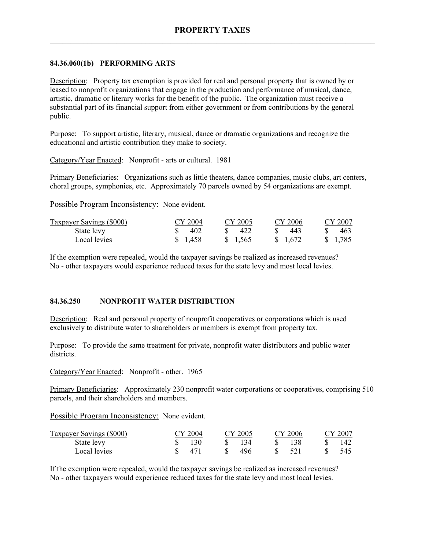## **84.36.060(1b) PERFORMING ARTS**

Description: Property tax exemption is provided for real and personal property that is owned by or leased to nonprofit organizations that engage in the production and performance of musical, dance, artistic, dramatic or literary works for the benefit of the public. The organization must receive a substantial part of its financial support from either government or from contributions by the general public.

Purpose: To support artistic, literary, musical, dance or dramatic organizations and recognize the educational and artistic contribution they make to society.

Category/Year Enacted: Nonprofit - arts or cultural. 1981

Primary Beneficiaries: Organizations such as little theaters, dance companies, music clubs, art centers, choral groups, symphonies, etc. Approximately 70 parcels owned by 54 organizations are exempt.

Possible Program Inconsistency: None evident.

| <b>Taxpayer Savings (\$000)</b> | CY 2004 | CY 2005  | CY 2006  | CY 2007  |
|---------------------------------|---------|----------|----------|----------|
| State levy                      | 402     | 422      | -443     | 463      |
| Local levies                    | \$1,458 | \$ 1.565 | \$ 1,672 | \$ 1,785 |

If the exemption were repealed, would the taxpayer savings be realized as increased revenues? No - other taxpayers would experience reduced taxes for the state levy and most local levies.

#### **84.36.250 NONPROFIT WATER DISTRIBUTION**

Description: Real and personal property of nonprofit cooperatives or corporations which is used exclusively to distribute water to shareholders or members is exempt from property tax.

Purpose: To provide the same treatment for private, nonprofit water distributors and public water districts.

Category/Year Enacted: Nonprofit - other. 1965

Primary Beneficiaries: Approximately 230 nonprofit water corporations or cooperatives, comprising 510 parcels, and their shareholders and members.

Possible Program Inconsistency: None evident.

| <b>Taxpayer Savings (\$000)</b> | CY 2004 |     | CY 2005 |    | CY 2006 | CY 2007 |
|---------------------------------|---------|-----|---------|----|---------|---------|
| State levy                      | 130     | SS. | 134     |    | 138     |         |
| Local levies                    | 471     | Ж.  | 496     | S. | 521     | -545    |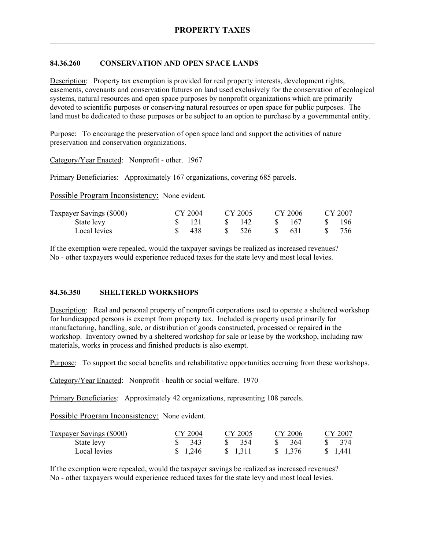# **84.36.260 CONSERVATION AND OPEN SPACE LANDS**

Description: Property tax exemption is provided for real property interests, development rights, easements, covenants and conservation futures on land used exclusively for the conservation of ecological systems, natural resources and open space purposes by nonprofit organizations which are primarily devoted to scientific purposes or conserving natural resources or open space for public purposes. The land must be dedicated to these purposes or be subject to an option to purchase by a governmental entity.

Purpose: To encourage the preservation of open space land and support the activities of nature preservation and conservation organizations.

Category/Year Enacted: Nonprofit - other. 1967

Primary Beneficiaries: Approximately 167 organizations, covering 685 parcels.

Possible Program Inconsistency: None evident.

| Taxpayer Savings (\$000) | CY 2004 | CY 2005 | CY 2006   | CY 2007 |
|--------------------------|---------|---------|-----------|---------|
| State levy               |         | -142    | -167<br>S | -196-   |
| Local levies             | 438     | 526     | - 631     | 756     |

If the exemption were repealed, would the taxpayer savings be realized as increased revenues? No - other taxpayers would experience reduced taxes for the state levy and most local levies.

#### **84.36.350 SHELTERED WORKSHOPS**

Description: Real and personal property of nonprofit corporations used to operate a sheltered workshop for handicapped persons is exempt from property tax. Included is property used primarily for manufacturing, handling, sale, or distribution of goods constructed, processed or repaired in the workshop. Inventory owned by a sheltered workshop for sale or lease by the workshop, including raw materials, works in process and finished products is also exempt.

Purpose: To support the social benefits and rehabilitative opportunities accruing from these workshops.

Category/Year Enacted: Nonprofit - health or social welfare. 1970

Primary Beneficiaries: Approximately 42 organizations, representing 108 parcels.

Possible Program Inconsistency: None evident.

| <b>Taxpayer Savings (\$000)</b> | CY 2004           | CY 2005           | CY 2006           | CY 2007      |
|---------------------------------|-------------------|-------------------|-------------------|--------------|
| State levy                      | $\frac{1}{2}$ 343 | $\frac{1}{2}$ 354 | $\frac{1}{2}$ 364 | $\sqrt{374}$ |
| Local levies                    | \$ 1.246          | \$ 1.311          | \$ 1.376          | \$ 1,441     |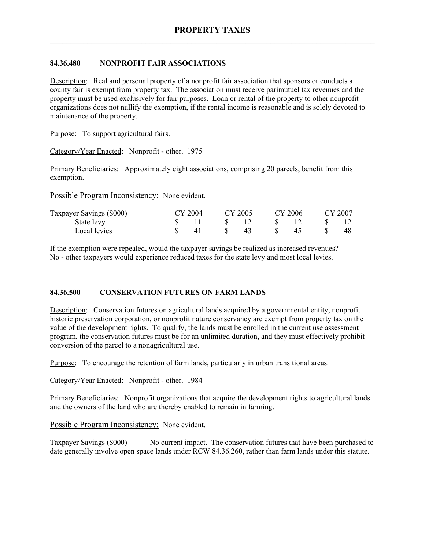## **84.36.480 NONPROFIT FAIR ASSOCIATIONS**

Description: Real and personal property of a nonprofit fair association that sponsors or conducts a county fair is exempt from property tax. The association must receive parimutuel tax revenues and the property must be used exclusively for fair purposes. Loan or rental of the property to other nonprofit organizations does not nullify the exemption, if the rental income is reasonable and is solely devoted to maintenance of the property.

Purpose: To support agricultural fairs.

Category/Year Enacted: Nonprofit - other. 1975

Primary Beneficiaries: Approximately eight associations, comprising 20 parcels, benefit from this exemption.

Possible Program Inconsistency: None evident.

| Taxpayer Savings (\$000) | CY 2004 |  | CY 2005 |    | CY 2006 |  |    |  |  |  | CY 2007 |  |
|--------------------------|---------|--|---------|----|---------|--|----|--|--|--|---------|--|
| State levy               |         |  |         |    | S       |  |    |  |  |  |         |  |
| Local levies             |         |  | -SS     | 43 | - S     |  | 48 |  |  |  |         |  |

If the exemption were repealed, would the taxpayer savings be realized as increased revenues? No - other taxpayers would experience reduced taxes for the state levy and most local levies.

# **84.36.500 CONSERVATION FUTURES ON FARM LANDS**

Description: Conservation futures on agricultural lands acquired by a governmental entity, nonprofit historic preservation corporation, or nonprofit nature conservancy are exempt from property tax on the value of the development rights. To qualify, the lands must be enrolled in the current use assessment program, the conservation futures must be for an unlimited duration, and they must effectively prohibit conversion of the parcel to a nonagricultural use.

Purpose: To encourage the retention of farm lands, particularly in urban transitional areas.

Category/Year Enacted: Nonprofit - other. 1984

Primary Beneficiaries: Nonprofit organizations that acquire the development rights to agricultural lands and the owners of the land who are thereby enabled to remain in farming.

Possible Program Inconsistency: None evident.

Taxpayer Savings (\$000) No current impact. The conservation futures that have been purchased to date generally involve open space lands under RCW 84.36.260, rather than farm lands under this statute.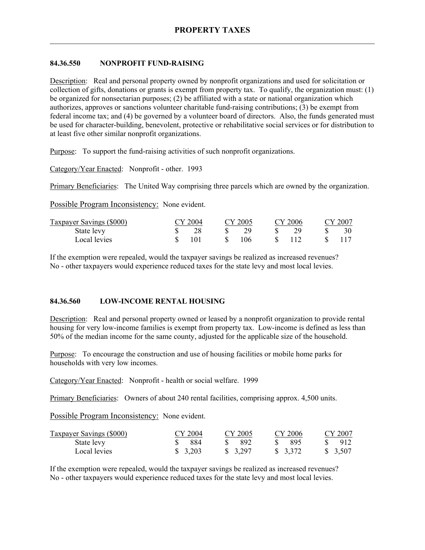# **84.36.550 NONPROFIT FUND-RAISING**

Description: Real and personal property owned by nonprofit organizations and used for solicitation or collection of gifts, donations or grants is exempt from property tax. To qualify, the organization must: (1) be organized for nonsectarian purposes; (2) be affiliated with a state or national organization which authorizes, approves or sanctions volunteer charitable fund-raising contributions; (3) be exempt from federal income tax; and (4) be governed by a volunteer board of directors. Also, the funds generated must be used for character-building, benevolent, protective or rehabilitative social services or for distribution to at least five other similar nonprofit organizations.

Purpose: To support the fund-raising activities of such nonprofit organizations.

Category/Year Enacted: Nonprofit - other. 1993

Primary Beneficiaries: The United Way comprising three parcels which are owned by the organization.

Possible Program Inconsistency: None evident.

| Taxpayer Savings (\$000) | CY 2004 | CY 2005 | CY 2006 | CY 2007 |
|--------------------------|---------|---------|---------|---------|
| State levy               |         |         |         |         |
| Local levies             | 101     | 106     |         |         |

If the exemption were repealed, would the taxpayer savings be realized as increased revenues? No - other taxpayers would experience reduced taxes for the state levy and most local levies.

# **84.36.560 LOW-INCOME RENTAL HOUSING**

Description: Real and personal property owned or leased by a nonprofit organization to provide rental housing for very low-income families is exempt from property tax. Low-income is defined as less than 50% of the median income for the same county, adjusted for the applicable size of the household.

Purpose: To encourage the construction and use of housing facilities or mobile home parks for households with very low incomes.

Category/Year Enacted: Nonprofit - health or social welfare. 1999

Primary Beneficiaries: Owners of about 240 rental facilities, comprising approx. 4,500 units.

Possible Program Inconsistency: None evident.

| <b>Taxpayer Savings (\$000)</b> | CY 2004  | CY 2005  | CY 2006               | CY 2007  |
|---------------------------------|----------|----------|-----------------------|----------|
| State levy                      | 884      | -892     | - 895<br>$\mathbf{S}$ | 912      |
| Local levies                    | \$ 3.203 | \$ 3.297 | \$ 3,372              | \$ 3.507 |